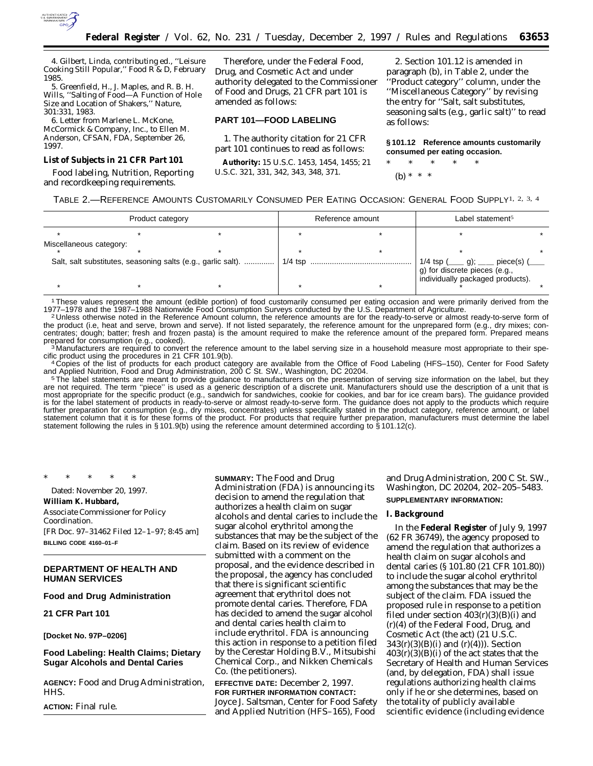

4. Gilbert, Linda, contributing ed., ''Leisure Cooking Still Popular,'' *Food R & D*, February 1985.

5. Greenfield, H., J. Maples, and R. B. H. Wills, ''Salting of Food—A Function of Hole Size and Location of Shakers,'' *Nature*, 301:331, 1983.

6. Letter from Marlene L. McKone, McCormick & Company, Inc., to Ellen M. Anderson, CFSAN, FDA, September 26, 1997.

#### **List of Subjects in 21 CFR Part 101**

Food labeling, Nutrition, Reporting and recordkeeping requirements.

Therefore, under the Federal Food, Drug, and Cosmetic Act and under authority delegated to the Commissioner of Food and Drugs, 21 CFR part 101 is amended as follows:

# **PART 101—FOOD LABELING**

1. The authority citation for 21 CFR part 101 continues to read as follows:

**Authority:** 15 U.S.C. 1453, 1454, 1455; 21 U.S.C. 321, 331, 342, 343, 348, 371.

2. Section 101.12 is amended in paragraph (b), in Table 2, under the ''Product category'' column, under the ''Miscellaneous Category'' by revising the entry for ''Salt, salt substitutes, seasoning salts (e.g., garlic salt)'' to read as follows:

**§ 101.12 Reference amounts customarily consumed per eating occasion.**

\* \* \* \* \* (b) \* \* \*

TABLE 2.—REFERENCE AMOUNTS CUSTOMARILY CONSUMED PER EATING OCCASION: GENERAL FOOD SUPPLY1, 2, 3, 4

| Product category                                             |  |  | Reference amount |  | Label statement <sup>5</sup>                     |           |
|--------------------------------------------------------------|--|--|------------------|--|--------------------------------------------------|-----------|
|                                                              |  |  |                  |  |                                                  |           |
| Miscellaneous category:                                      |  |  |                  |  |                                                  |           |
| Salt, salt substitutes, seasoning salts (e.g., garlic salt). |  |  | $1/4$ tsp        |  | 1/4 tsp $($ q);<br>g) for discrete pieces (e.g., | piece(s)( |
|                                                              |  |  |                  |  | individually packaged products).                 |           |

<sup>1</sup> These values represent the amount (edible portion) of food customarily consumed per eating occasion and were primarily derived from the 1987–1988 Nationwide Food Consumption Surveys conducted by the U.S. Department of

<sup>2</sup>Unless otherwise noted in the Reference Amount column, the reference amounts are for the ready-to-serve or almost ready-to-serve form of the product (i.e, heat and serve, brown and serve). If not listed separately, the reference amount for the unprepared form (e.g., dry mixes; concentrates; dough; batter; fresh and frozen pasta) is the amount required to make the reference amount of the prepared form. Prepared means

prepared for consumption (e.g., cooked).<br><sup>3</sup> Manufacturers are required to convert the reference amount to the label serving size in a household measure most appropriate to their spe-<br>cific product using the procedures in

cific product using the procedures in 21 CFR 101.9(b).<br>4 Copies of the list of products for each product category are available from the Office of Food Labeling (HFS–150), Center for Food Safety and Applied Nutrition, Food and Drug Administration, 200 C St. SW., Washington, DC 20204.<br><sup>5</sup> The label statements are meant to provide guidance to manufacturers on the presentation of serving size information on the label

<sup>5</sup>The label statements are meant to provide guidance to manufacturers on the presentation of serving size information on the label, but they are not required. The term "piece" is used as a generic description of a discret most appropriate for the specific product (e.g., sandwich for sandwiches, cookie for cookies, and bar for ice cream bars). The guidance provided is for the label statement of products in ready-to-serve or almost ready-to-serve form. The guidance does not apply to the products which require further preparation for consumption (e.g., dry mixes, concentrates) unless specifically stated in the product category, reference amount, or label statement column that it is for these forms of the product. For products that require further preparation, manufacturers must determine the label statement following the rules in § 101.9(b) using the reference amount determined according to § 101.12(c).

\* \* \* \* \*

Dated: November 20, 1997. **William K. Hubbard,**

*Associate Commissioner for Policy Coordination.* [FR Doc. 97–31462 Filed 12–1–97; 8:45 am] **BILLING CODE 4160–01–F**

# **DEPARTMENT OF HEALTH AND HUMAN SERVICES**

# **Food and Drug Administration**

**21 CFR Part 101**

**[Docket No. 97P–0206]**

# **Food Labeling: Health Claims; Dietary Sugar Alcohols and Dental Caries**

**AGENCY:** Food and Drug Administration, HHS.

**ACTION:** Final rule.

**SUMMARY:** The Food and Drug Administration (FDA) is announcing its decision to amend the regulation that authorizes a health claim on sugar alcohols and dental caries to include the sugar alcohol erythritol among the substances that may be the subject of the claim. Based on its review of evidence submitted with a comment on the proposal, and the evidence described in the proposal, the agency has concluded that there is significant scientific agreement that erythritol does not promote dental caries. Therefore, FDA has decided to amend the sugar alcohol and dental caries health claim to include erythritol. FDA is announcing this action in response to a petition filed by the Cerestar Holding B.V., Mitsubishi Chemical Corp., and Nikken Chemicals Co. (the petitioners).

**EFFECTIVE DATE:** December 2, 1997. **FOR FURTHER INFORMATION CONTACT:** Joyce J. Saltsman, Center for Food Safety and Applied Nutrition (HFS–165), Food

and Drug Administration, 200 C St. SW., Washington, DC 20204, 202–205–5483. **SUPPLEMENTARY INFORMATION:**

#### **I. Background**

In the **Federal Register** of July 9, 1997 (62 FR 36749), the agency proposed to amend the regulation that authorizes a health claim on sugar alcohols and dental caries (§ 101.80 (21 CFR 101.80)) to include the sugar alcohol erythritol among the substances that may be the subject of the claim. FDA issued the proposed rule in response to a petition filed under section  $403(r)(3)(B)(i)$  and (r)(4) of the Federal Food, Drug, and Cosmetic Act (the act) (21 U.S.C.  $343(r)(3)(B)(i)$  and  $(r)(4))$ ). Section  $403(r)(3)(B)(i)$  of the act states that the Secretary of Health and Human Services (and, by delegation, FDA) shall issue regulations authorizing health claims only if he or she determines, based on the totality of publicly available scientific evidence (including evidence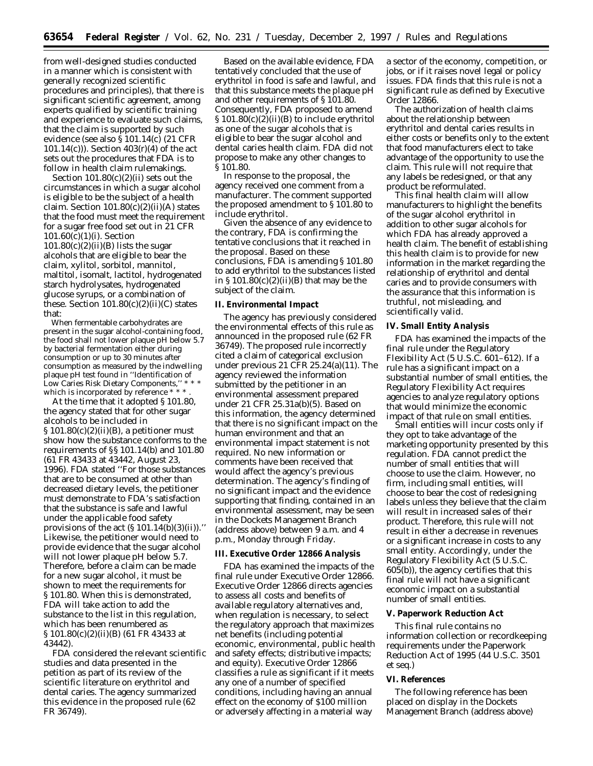from well-designed studies conducted in a manner which is consistent with generally recognized scientific procedures and principles), that there is significant scientific agreement, among experts qualified by scientific training and experience to evaluate such claims, that the claim is supported by such evidence (see also § 101.14(c) (21 CFR 101.14(c))). Section 403(r)(4) of the act sets out the procedures that FDA is to follow in health claim rulemakings.

Section  $101.80(c)(2)(ii)$  sets out the circumstances in which a sugar alcohol is eligible to be the subject of a health claim. Section  $101.80(c)(2)(ii)(A)$  states that the food must meet the requirement for a sugar free food set out in 21 CFR 101.60(c)(1)(i). Section  $101.80(c)(2)(ii)(B)$  lists the sugar alcohols that are eligible to bear the claim, xylitol, sorbitol, mannitol, maltitol, isomalt, lactitol, hydrogenated starch hydrolysates, hydrogenated glucose syrups, or a combination of these. Section  $101.80(c)(2)(ii)(C)$  states that:

When fermentable carbohydrates are present in the sugar alcohol-containing food, the food shall not lower plaque pH below 5.7 by bacterial fermentation either during consumption or up to 30 minutes after consumption as measured by the indwelling plaque pH test found in ''Identification of Low Caries Risk Dietary Components," which is incorporated by reference \* \* \*

At the time that it adopted § 101.80, the agency stated that for other sugar alcohols to be included in  $\S 101.80(c)(2)(ii)(B)$ , a petitioner must show how the substance conforms to the requirements of §§ 101.14(b) and 101.80 (61 FR 43433 at 43442, August 23, 1996). FDA stated ''For those substances that are to be consumed at other than decreased dietary levels, the petitioner must demonstrate to FDA's satisfaction that the substance is safe and lawful under the applicable food safety provisions of the act  $(\S 101.14(b)(3)(ii))$ . Likewise, the petitioner would need to provide evidence that the sugar alcohol will not lower plaque pH below 5.7. Therefore, before a claim can be made for a new sugar alcohol, it must be shown to meet the requirements for § 101.80. When this is demonstrated, FDA will take action to add the substance to the list in this regulation, which has been renumbered as § 101.80(c)(2)(ii)(B) (61 FR 43433 at 43442).

FDA considered the relevant scientific studies and data presented in the petition as part of its review of the scientific literature on erythritol and dental caries. The agency summarized this evidence in the proposed rule (62 FR 36749).

Based on the available evidence, FDA tentatively concluded that the use of erythritol in food is safe and lawful, and that this substance meets the plaque pH and other requirements of § 101.80. Consequently, FDA proposed to amend § 101.80(c)(2)(ii)(B) to include erythritol as one of the sugar alcohols that is eligible to bear the sugar alcohol and dental caries health claim. FDA did not propose to make any other changes to § 101.80.

In response to the proposal, the agency received one comment from a manufacturer. The comment supported the proposed amendment to § 101.80 to include erythritol.

Given the absence of any evidence to the contrary, FDA is confirming the tentative conclusions that it reached in the proposal. Based on these conclusions, FDA is amending § 101.80 to add erythritol to the substances listed in  $\S 101.80(c)(2)(ii)(B)$  that may be the subject of the claim.

#### **II. Environmental Impact**

The agency has previously considered the environmental effects of this rule as announced in the proposed rule (62 FR 36749). The proposed rule incorrectly cited a claim of categorical exclusion under previous 21 CFR 25.24(a)(11). The agency reviewed the information submitted by the petitioner in an environmental assessment prepared under 21 CFR 25.31a(b)(5). Based on this information, the agency determined that there is no significant impact on the human environment and that an environmental impact statement is not required. No new information or comments have been received that would affect the agency's previous determination. The agency's finding of no significant impact and the evidence supporting that finding, contained in an environmental assessment, may be seen in the Dockets Management Branch (address above) between 9 a.m. and 4 p.m., Monday through Friday.

#### **III. Executive Order 12866 Analysis**

FDA has examined the impacts of the final rule under Executive Order 12866. Executive Order 12866 directs agencies to assess all costs and benefits of available regulatory alternatives and, when regulation is necessary, to select the regulatory approach that maximizes net benefits (including potential economic, environmental, public health and safety effects; distributive impacts; and equity). Executive Order 12866 classifies a rule as significant if it meets any one of a number of specified conditions, including having an annual effect on the economy of \$100 million or adversely affecting in a material way

a sector of the economy, competition, or jobs, or if it raises novel legal or policy issues. FDA finds that this rule is not a significant rule as defined by Executive Order 12866.

The authorization of health claims about the relationship between erythritol and dental caries results in either costs or benefits only to the extent that food manufacturers elect to take advantage of the opportunity to use the claim. This rule will not require that any labels be redesigned, or that any product be reformulated.

This final health claim will allow manufacturers to highlight the benefits of the sugar alcohol erythritol in addition to other sugar alcohols for which FDA has already approved a health claim. The benefit of establishing this health claim is to provide for new information in the market regarding the relationship of erythritol and dental caries and to provide consumers with the assurance that this information is truthful, not misleading, and scientifically valid.

#### **IV. Small Entity Analysis**

FDA has examined the impacts of the final rule under the Regulatory Flexibility Act (5 U.S.C. 601–612). If a rule has a significant impact on a substantial number of small entities, the Regulatory Flexibility Act requires agencies to analyze regulatory options that would minimize the economic impact of that rule on small entities.

Small entities will incur costs only if they opt to take advantage of the marketing opportunity presented by this regulation. FDA cannot predict the number of small entities that will choose to use the claim. However, no firm, including small entities, will choose to bear the cost of redesigning labels unless they believe that the claim will result in increased sales of their product. Therefore, this rule will not result in either a decrease in revenues or a significant increase in costs to any small entity. Accordingly, under the Regulatory Flexibility Act (5 U.S.C. 605(b)), the agency certifies that this final rule will not have a significant economic impact on a substantial number of small entities.

#### **V. Paperwork Reduction Act**

This final rule contains no information collection or recordkeeping requirements under the Paperwork Reduction Act of 1995 (44 U.S.C. 3501 *et seq*.)

## **VI. References**

The following reference has been placed on display in the Dockets Management Branch (address above)